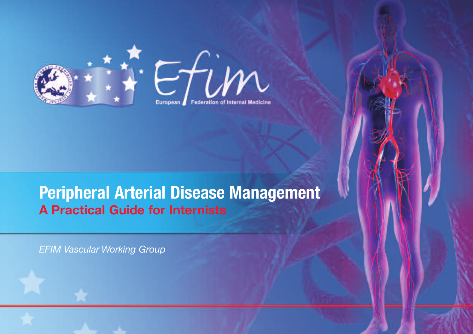



# **Peripheral Arterial Disease Management A Practical Guide for Internists**

*EFIM Vascular Working Group*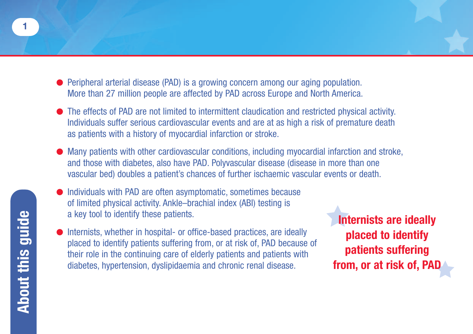- **●** Peripheral arterial disease (PAD) is a growing concern among our aging population. More than 27 million people are affected by PAD across Europe and North America.
- **●** The effects of PAD are not limited to intermittent claudication and restricted physical activity. Individuals suffer serious cardiovascular events and are at as high a risk of premature death as patients with a history of myocardial infarction or stroke.
- Many patients with other cardiovascular conditions, including myocardial infarction and stroke, and those with diabetes, also have PAD. Polyvascular disease (disease in more than one vascular bed) doubles a patient's chances of further ischaemic vascular events or death.
- **●** Individuals with PAD are often asymptomatic, sometimes because of limited physical activity. Ankle–brachial index (ABI) testing is a key tool to identify these patients.
- Internists, whether in hospital- or office-based practices, are ideally placed to identify patients suffering from, or at risk of, PAD because of their role in the continuing care of elderly patients and patients with diabetes, hypertension, dyslipidaemia and chronic renal disease.

**Internists are ideally placed to identify patients suffering from, or at risk of, PA**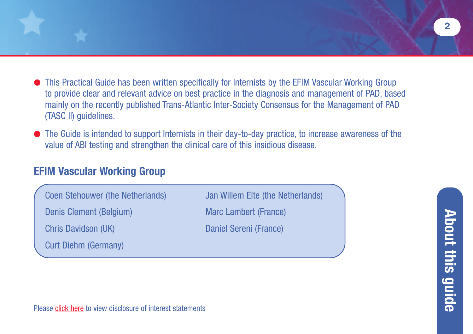- **●** This Practical Guide has been written specifically for Internists by the EFIM Vascular Working Group to provide clear and relevant advice on best practice in the diagnosis and management of PAD, based mainly on the recently published Trans-Atlantic Inter-Society Consensus for the Management of PAD (TASC II) guidelines.
- **●** The Guide is intended to support Internists in their day-to-day practice, to increase awareness of the value of ABI testing and strengthen the clinical care of this insidious disease.

## **EFIM Vascular Working Group**

Coen Stehouwer (the Netherlands) Jan Willem Elte (the Netherlands)

Denis Clement (Belgium) Marc Lambert (France)

Curt Diehm (Germany)

Chris Davidson (UK) Daniel Sereni (France)

Please [click here](http://www.pad-guide.info/Disclosure of interest.pdf) to view disclosure of interest statements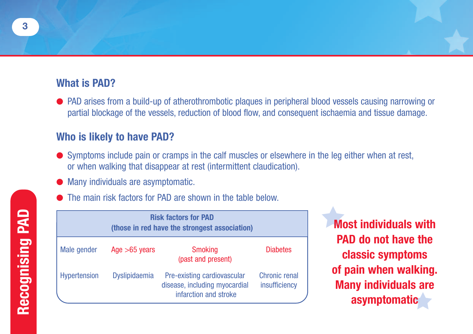## **What is PAD?**

**●** PAD arises from a build-up of atherothrombotic plaques in peripheral blood vessels causing narrowing or partial blockage of the vessels, reduction of blood flow, and consequent ischaemia and tissue damage.

## **Who is likely to have PAD?**

- **●** Symptoms include pain or cramps in the calf muscles or elsewhere in the leg either when at rest, or when walking that disappear at rest (intermittent claudication).
- **Many individuals are asymptomatic.**
- The main risk factors for PAD are shown in the table below.

| <b>Risk factors for PAD</b><br>(those in red have the strongest association) |                 |                                                                                       |                                |
|------------------------------------------------------------------------------|-----------------|---------------------------------------------------------------------------------------|--------------------------------|
| Male gender                                                                  | Age $>65$ years | <b>Smoking</b><br>(past and present)                                                  | <b>Diabetes</b>                |
| <b>Hypertension</b>                                                          | Dyslipidaemia   | Pre-existing cardiovascular<br>disease, including myocardial<br>infarction and stroke | Chronic renal<br>insufficiency |

**Most individuals with PAD do not have the classic symptoms of pain when walking. Many individuals are asymptomatic**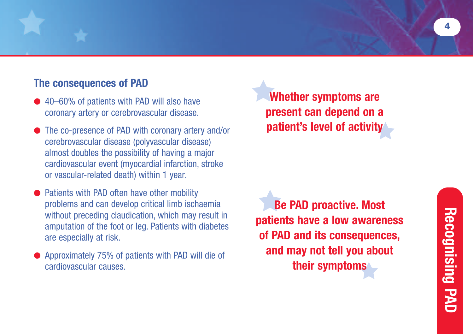## **The consequences of PAD**

- 40–60% of patients with PAD will also have coronary artery or cerebrovascular disease.
- **●** The co-presence of PAD with coronary artery and/or cerebrovascular disease (polyvascular disease) almost doubles the possibility of having a major cardiovascular event (myocardial infarction, stroke or vascular-related death) within 1 year.
- Patients with PAD often have other mobility problems and can develop critical limb ischaemia without preceding claudication, which may result in amputation of the foot or leg. Patients with diabetes are especially at risk.
- **●** Approximately 75% of patients with PAD will die of cardiovascular causes.

**Whether symptoms are present can depend on a patient's level of activity**

**Be PAD proactive. Most patients have a low awareness of PAD and its consequences, and may not tell you about their symptoms**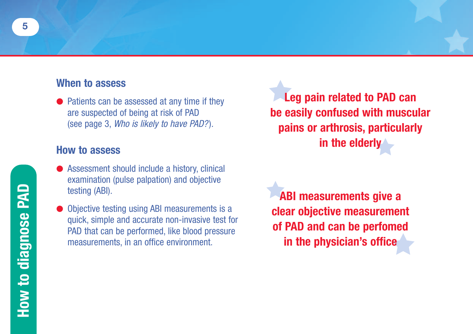## **When to assess**

● Patients can be assessed at any time if they are suspected of being at risk of PAD (see page 3, *Who is likely to have PAD?* )*.*

#### **How to assess**

- Assessment should include a history, clinical examination (pulse palpation) and objective testing (ABI).
- **Objective testing using ABI measurements is a** quick, simple and accurate non-invasive test for PAD that can be performed, like blood pressure measurements, in an office environment.

**Leg pain related to PAD can be easily confused with muscular pains or arthrosis, particularly in the elderly**

**ABI measurements give a clear objective measurement of PAD and can be perfomed in the physician's office**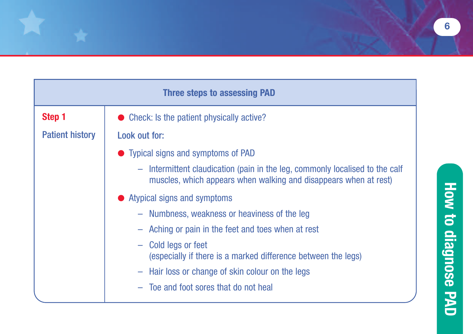| <b>Three steps to assessing PAD</b> |                                                                                                                                                                            |  |
|-------------------------------------|----------------------------------------------------------------------------------------------------------------------------------------------------------------------------|--|
| Step 1                              | Check: Is the patient physically active?                                                                                                                                   |  |
| <b>Patient history</b>              | Look out for:                                                                                                                                                              |  |
|                                     | • Typical signs and symptoms of PAD                                                                                                                                        |  |
|                                     | Intermittent claudication (pain in the leg, commonly localised to the calf<br>$\overline{\phantom{m}}$<br>muscles, which appears when walking and disappears when at rest) |  |
|                                     | • Atypical signs and symptoms                                                                                                                                              |  |
|                                     | - Numbness, weakness or heaviness of the leg                                                                                                                               |  |
|                                     | Aching or pain in the feet and toes when at rest                                                                                                                           |  |
|                                     | - Cold legs or feet<br>(especially if there is a marked difference between the legs)                                                                                       |  |
|                                     | - Hair loss or change of skin colour on the legs                                                                                                                           |  |
|                                     | Toe and foot sores that do not heal                                                                                                                                        |  |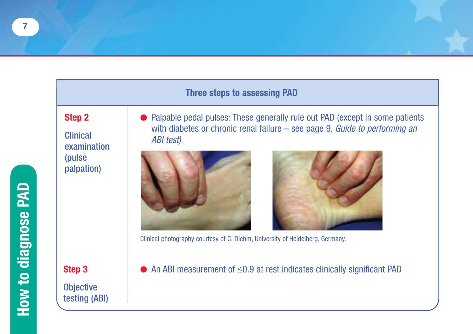#### **Three steps to assessing PAD**

#### **Step 2**

**Clinical** examination (pulse palpation)

**Step 3 Objective** testing (ABI) Palpable pedal pulses: These generally rule out PAD (except in some patients with diabetes or chronic renal failure – see page 9, *Guide to performing an ABI test)*





Clinical photography courtesy of C. Diehm, University of Heidelberg, Germany.

**●** An ABI measurement of ≤0.9 at rest indicates clinically significant PAD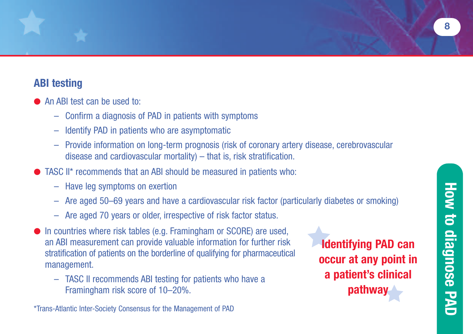## **ABI testing**

- An ABI test can be used to:
	- Confirm a diagnosis of PAD in patients with symptoms
	- Identify PAD in patients who are asymptomatic
	- Provide information on long-term prognosis (risk of coronary artery disease, cerebrovascular disease and cardiovascular mortality) – that is, risk stratification.
- **●** TASC II\* recommends that an ABI should be measured in patients who:
	- Have leg symptoms on exertion
	- Are aged 50–69 years and have a cardiovascular risk factor (particularly diabetes or smoking)
	- Are aged 70 years or older, irrespective of risk factor status.
- **●** In countries where risk tables (e.g. Framingham or SCORE) are used, an ABI measurement can provide valuable information for further risk stratification of patients on the borderline of qualifying for pharmaceutical management.
	- TASC II recommends ABI testing for patients who have a Framingham risk score of 10–20%.

\*Trans-Atlantic Inter-Society Consensus for the Management of PAD

**Identifying PAD can occur at any point in a patient's clinical pathwa** 

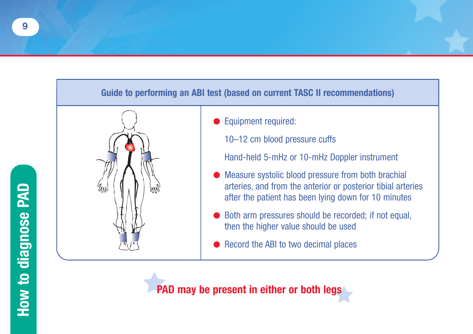#### **Guide to performing an ABI test (based on current TASC II recommendations)**



- **●** Equipment required:
	- 10–12 cm blood pressure cuffs

Hand-held 5-mHz or 10-mHz Doppler instrument

- **●** Measure systolic blood pressure from both brachial arteries, and from the anterior or posterior tibial arteries after the patient has been lying down for 10 minutes
- Both arm pressures should be recorded; if not equal, then the higher value should be used
- Record the ABI to two decimal places

**PAD may be present in either or both legs**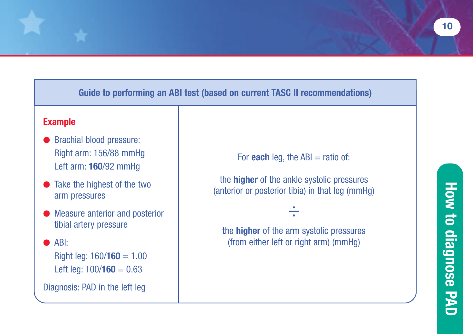### **Guide to performing an ABI test (based on current TASC II recommendations)**

#### **Example**

- **●** Brachial blood pressure: Right arm: 156/88 mmHg Left arm: **160**/92 mmHg
- **●** Take the highest of the two arm pressures
- **●** Measure anterior and posterior tibial artery pressure

**●** ABI:

Right leg: 160/**160** = 1.00 Left leg:  $100/160 = 0.63$ 

Diagnosis: PAD in the left leg

For **each** leg, the  $ABI = \text{ratio of:}$ 

the **higher** of the ankle systolic pressures (anterior or posterior tibia) in that leg (mmHg)

the **higher** of the arm systolic pressures (from either left or right arm) (mmHg)

÷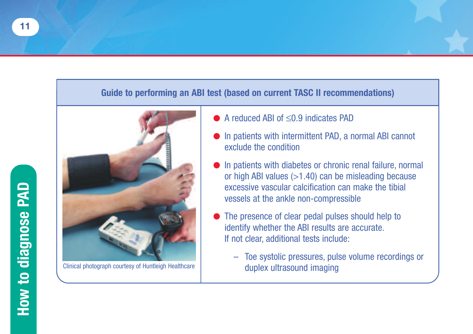#### **Guide to performing an ABI test (based on current TASC II recommendations)**



- **●** A reduced ABI of ≤0.9 indicates PAD
- **●** In patients with intermittent PAD, a normal ABI cannot exclude the condition
- In patients with diabetes or chronic renal failure, normal or high ABI values (>1.40) can be misleading because excessive vascular calcification can make the tibial vessels at the ankle non-compressible
- The presence of clear pedal pulses should help to identify whether the ABI results are accurate. If not clear, additional tests include:
- Toe systolic pressures, pulse volume recordings or Clinical photograph courtesy of Huntleigh Healthcare duplex ultrasound imaging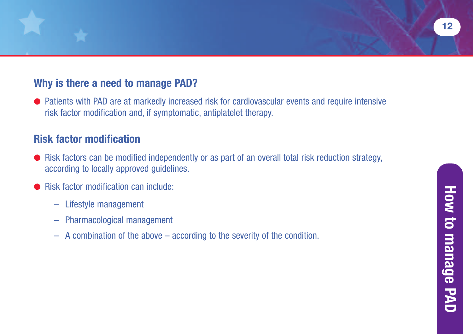## **Why is there a need to manage PAD?**

● Patients with PAD are at markedly increased risk for cardiovascular events and require intensive risk factor modification and, if symptomatic, antiplatelet therapy.

## **Risk factor modification**

- Risk factors can be modified independently or as part of an overall total risk reduction strategy, according to locally approved guidelines.
- **Risk factor modification can include:** 
	- Lifestyle management
	- Pharmacological management
	- A combination of the above according to the severity of the condition.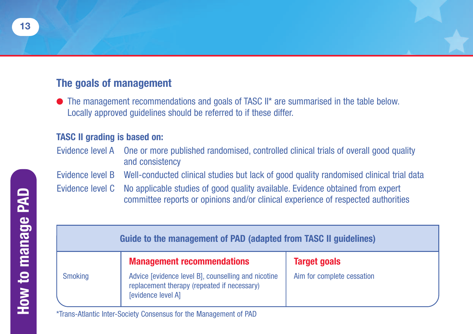## **The goals of management**

**●** The management recommendations and goals of TASC II\* are summarised in the table below. Locally approved guidelines should be referred to if these differ.

#### **TASC II grading is based on:**

- Evidence level A One or more published randomised, controlled clinical trials of overall good quality and consistency
- Evidence level B Well-conducted clinical studies but lack of good quality randomised clinical trial data
- Evidence level C No applicable studies of good quality available. Evidence obtained from expert committee reports or opinions and/or clinical experience of respected authorities

|                | Guide to the management of PAD (adapted from TASC II guidelines)                                                         |                            |
|----------------|--------------------------------------------------------------------------------------------------------------------------|----------------------------|
|                | <b>Management recommendations</b>                                                                                        | <b>Target goals</b>        |
| <b>Smoking</b> | Advice [evidence level B], counselling and nicotine<br>replacement therapy (repeated if necessary)<br>[evidence level A] | Aim for complete cessation |

\*Trans-Atlantic Inter-Society Consensus for the Management of PAD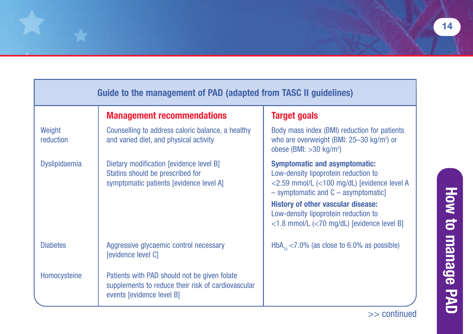| Guide to the management of PAD (adapted from TASC II guidelines) |                                                                                                                                 |                                                                                                                                                                                                                                                                                                                  |
|------------------------------------------------------------------|---------------------------------------------------------------------------------------------------------------------------------|------------------------------------------------------------------------------------------------------------------------------------------------------------------------------------------------------------------------------------------------------------------------------------------------------------------|
|                                                                  | <b>Management recommendations</b>                                                                                               | Target goals                                                                                                                                                                                                                                                                                                     |
| Weight<br>reduction                                              | Counselling to address caloric balance, a healthy<br>and varied diet, and physical activity                                     | Body mass index (BMI) reduction for patients<br>who are overweight (BMI: 25-30 kg/m <sup>2</sup> ) or<br>obese (BMI: $>30$ kg/m <sup>2</sup> )                                                                                                                                                                   |
| <b>Dyslipidaemia</b>                                             | Dietary modification [evidence level B]<br>Statins should be prescribed for<br>symptomatic patients [evidence level A]          | <b>Symptomatic and asymptomatic:</b><br>Low-density lipoprotein reduction to<br><2.59 mmol/L (<100 mg/dL) [evidence level A<br>$-$ symptomatic and $C$ – asymptomatic]<br><b>History of other vascular disease:</b><br>Low-density lipoprotein reduction to<br>$<$ 1.8 mmol/L ( $<$ 70 mg/dL) [evidence level B] |
| <b>Diabetes</b>                                                  | Aggressive glycaemic control necessary<br>[evidence level C]                                                                    | $HbA1 < 7.0\%$ (as close to 6.0% as possible)                                                                                                                                                                                                                                                                    |
| Homocysteine                                                     | Patients with PAD should not be given folate<br>supplements to reduce their risk of cardiovascular<br>events [evidence level B] |                                                                                                                                                                                                                                                                                                                  |

**H o w**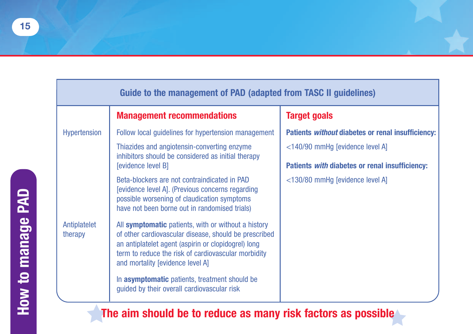| Guide to the management of PAD (adapted from TASC II guidelines) |                                                                                                                                                                                                                                                                |                                                          |  |
|------------------------------------------------------------------|----------------------------------------------------------------------------------------------------------------------------------------------------------------------------------------------------------------------------------------------------------------|----------------------------------------------------------|--|
|                                                                  | <b>Management recommendations</b>                                                                                                                                                                                                                              | <b>Target goals</b>                                      |  |
| Hypertension                                                     | Follow local guidelines for hypertension management                                                                                                                                                                                                            | Patients <i>without</i> diabetes or renal insufficiency: |  |
|                                                                  | Thiazides and angiotensin-converting enzyme<br>inhibitors should be considered as initial therapy                                                                                                                                                              | <140/90 mmHg [evidence level A]                          |  |
|                                                                  | [evidence level B]                                                                                                                                                                                                                                             | Patients with diabetes or renal insufficiency:           |  |
|                                                                  | Beta-blockers are not contraindicated in PAD<br>[evidence level A]. (Previous concerns regarding<br>possible worsening of claudication symptoms<br>have not been borne out in randomised trials)                                                               | <130/80 mmHg [evidence level A]                          |  |
| Antiplatelet<br>therapy                                          | All symptomatic patients, with or without a history<br>of other cardiovascular disease, should be prescribed<br>an antiplatelet agent (aspirin or clopidogrel) long<br>term to reduce the risk of cardiovascular morbidity<br>and mortality [evidence level A] |                                                          |  |
|                                                                  | In asymptomatic patients, treatment should be<br>guided by their overall cardiovascular risk                                                                                                                                                                   |                                                          |  |

**The aim should be to reduce as many risk factors as possible**

**H o w t o**

**m**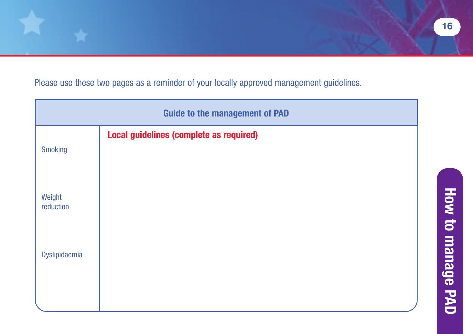Please use these two pages as a reminder of your locally approved management guidelines.

| <b>Guide to the management of PAD</b> |                                         |
|---------------------------------------|-----------------------------------------|
| <b>Smoking</b>                        | Local guidelines (complete as required) |
| Weight<br>reduction                   |                                         |
| Dyslipidaemia                         |                                         |
|                                       |                                         |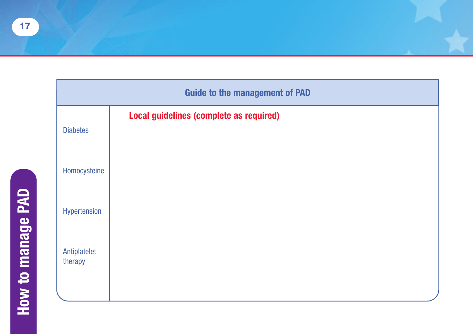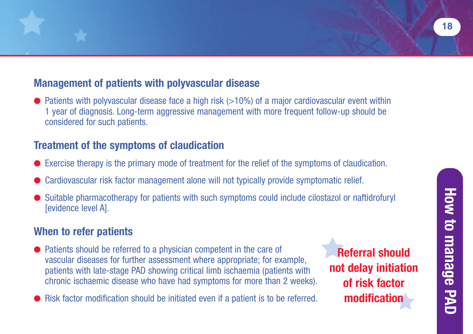## **Management of patients with polyvascular disease**

● Patients with polyvascular disease face a high risk (>10%) of a major cardiovascular event within 1 year of diagnosis. Long-term aggressive management with more frequent follow-up should be considered for such patients.

## **Treatment of the symptoms of claudication**

- **●** Exercise therapy is the primary mode of treatment for the relief of the symptoms of claudication.
- **●** Cardiovascular risk factor management alone will not typically provide symptomatic relief.
- **●** Suitable pharmacotherapy for patients with such symptoms could include cilostazol or naftidrofuryl [evidence level A].

## **When to refer patients**

- **●** Patients should be referred to a physician competent in the care of vascular diseases for further assessment where appropriate; for example, patients with late-stage PAD showing critical limb ischaemia (patients with chronic ischaemic disease who have had symptoms for more than 2 weeks).
- **●** Risk factor modification should be initiated even if a patient is to be referred.

**Referral should not delay initiation of risk factor modification**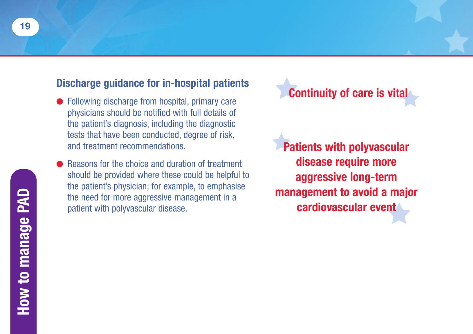### **Discharge guidance for in-hospital patients**

- Following discharge from hospital, primary care physicians should be notified with full details of the patient's diagnosis, including the diagnostic tests that have been conducted, degree of risk, and treatment recommendations.
- **●** Reasons for the choice and duration of treatment should be provided where these could be helpful to the patient's physician; for example, to emphasise the need for more aggressive management in a patient with polyvascular disease.

**Continuity of care is vital**

**Patients with polyvascular disease require more aggressive long-term management to avoid a major cardiovascular event**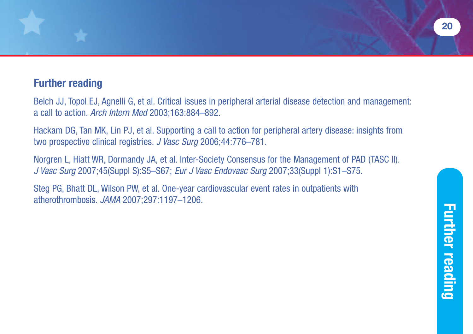## **Further reading**

Belch JJ, Topol EJ, Agnelli G, et al. Critical issues in peripheral arterial disease detection and management: a call to action. *Arch Intern Med* 2003;163:884–892.

Hackam DG, Tan MK, Lin PJ, et al. Supporting a call to action for peripheral artery disease: insights from two prospective clinical registries. *J Vasc Surg* 2006;44:776–781.

Norgren L, Hiatt WR, Dormandy JA, et al. Inter-Society Consensus for the Management of PAD (TASC II). *J Vasc Surg* 2007;45(Suppl S):S5–S67; *Eur J Vasc Endovasc Surg* 2007;33(Suppl 1):S1–S75.

Steg PG, Bhatt DL, Wilson PW, et al. One-year cardiovascular event rates in outpatients with atherothrombosis. *JAMA* 2007;297:1197–1206.